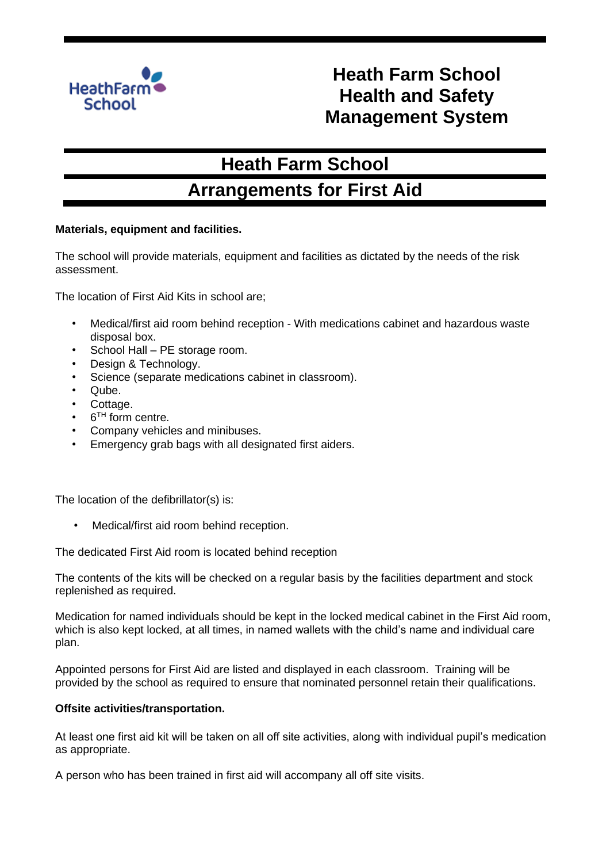

# **Heath Farm School Health and Safety Management System**

# **Heath Farm School**

## **Arrangements for First Aid**

### **Materials, equipment and facilities.**

The school will provide materials, equipment and facilities as dictated by the needs of the risk assessment.

The location of First Aid Kits in school are;

- Medical/first aid room behind reception With medications cabinet and hazardous waste disposal box.
- School Hall PE storage room.
- Design & Technology.
- Science (separate medications cabinet in classroom).
- Qube.
- Cottage.
- 6<sup>TH</sup> form centre.
- Company vehicles and minibuses.
- Emergency grab bags with all designated first aiders.

The location of the defibrillator(s) is:

Medical/first aid room behind reception.

The dedicated First Aid room is located behind reception

The contents of the kits will be checked on a regular basis by the facilities department and stock replenished as required.

Medication for named individuals should be kept in the locked medical cabinet in the First Aid room, which is also kept locked, at all times, in named wallets with the child's name and individual care plan.

Appointed persons for First Aid are listed and displayed in each classroom. Training will be provided by the school as required to ensure that nominated personnel retain their qualifications.

#### **Offsite activities/transportation.**

At least one first aid kit will be taken on all off site activities, along with individual pupil's medication as appropriate.

A person who has been trained in first aid will accompany all off site visits.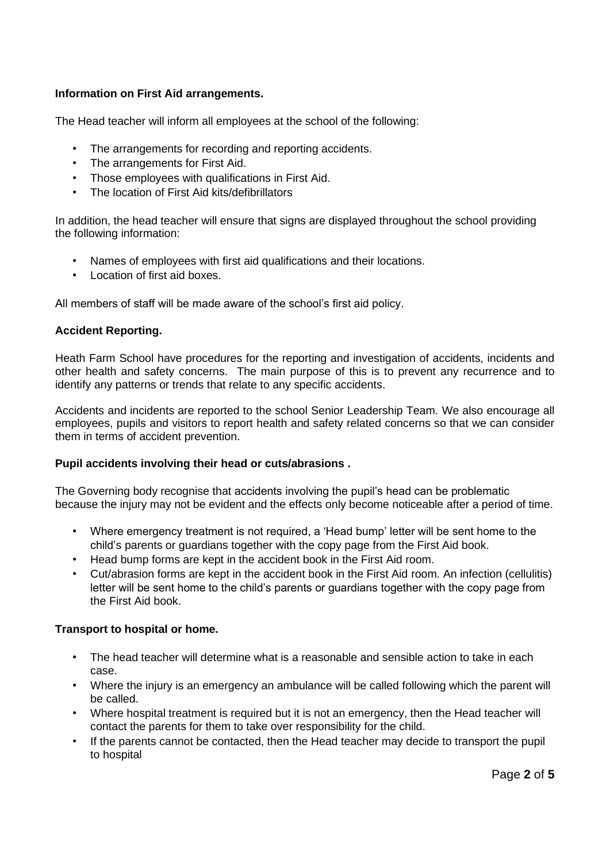### **Information on First Aid arrangements.**

The Head teacher will inform all employees at the school of the following:

- The arrangements for recording and reporting accidents.
- The arrangements for First Aid.
- Those employees with qualifications in First Aid.
- The location of First Aid kits/defibrillators

In addition, the head teacher will ensure that signs are displayed throughout the school providing the following information:

- Names of employees with first aid qualifications and their locations.
- Location of first aid boxes.

All members of staff will be made aware of the school's first aid policy.

#### **Accident Reporting.**

Heath Farm School have procedures for the reporting and investigation of accidents, incidents and other health and safety concerns. The main purpose of this is to prevent any recurrence and to identify any patterns or trends that relate to any specific accidents.

Accidents and incidents are reported to the school Senior Leadership Team. We also encourage all employees, pupils and visitors to report health and safety related concerns so that we can consider them in terms of accident prevention.

#### **Pupil accidents involving their head or cuts/abrasions .**

The Governing body recognise that accidents involving the pupil's head can be problematic because the injury may not be evident and the effects only become noticeable after a period of time.

- Where emergency treatment is not required, a 'Head bump' letter will be sent home to the child's parents or guardians together with the copy page from the First Aid book.
- Head bump forms are kept in the accident book in the First Aid room.
- Cut/abrasion forms are kept in the accident book in the First Aid room. An infection (cellulitis) letter will be sent home to the child's parents or guardians together with the copy page from the First Aid book.

#### **Transport to hospital or home.**

- The head teacher will determine what is a reasonable and sensible action to take in each case.
- Where the injury is an emergency an ambulance will be called following which the parent will be called.
- Where hospital treatment is required but it is not an emergency, then the Head teacher will contact the parents for them to take over responsibility for the child.
- If the parents cannot be contacted, then the Head teacher may decide to transport the pupil to hospital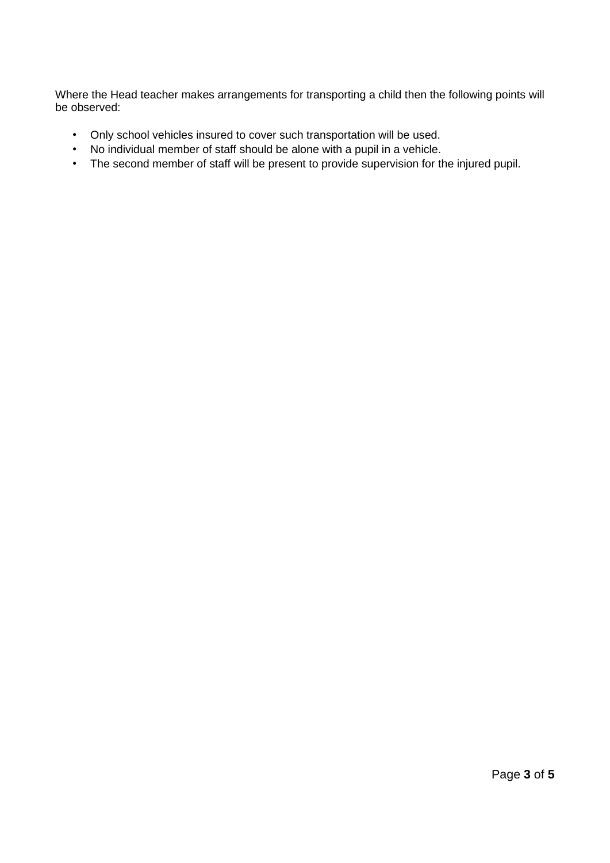Where the Head teacher makes arrangements for transporting a child then the following points will be observed:

- Only school vehicles insured to cover such transportation will be used.
- No individual member of staff should be alone with a pupil in a vehicle.
- The second member of staff will be present to provide supervision for the injured pupil.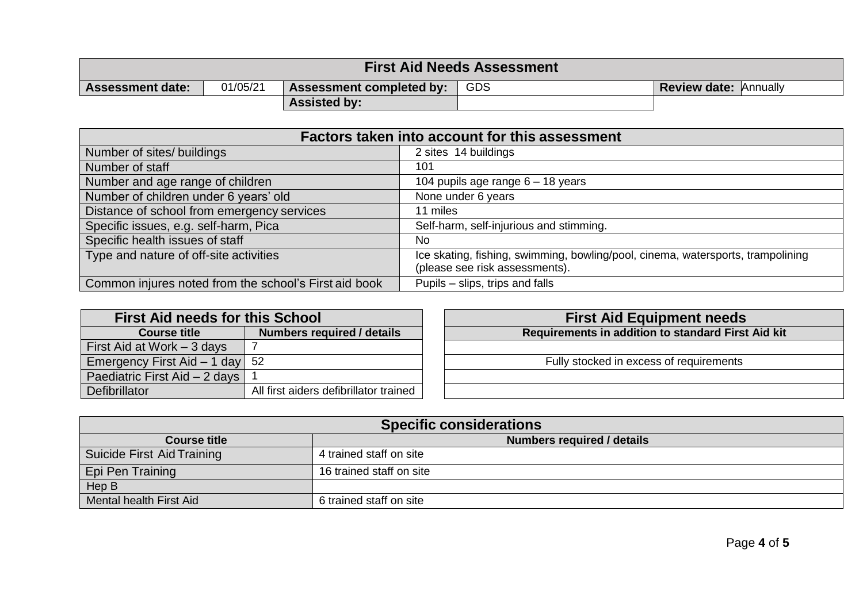| <b>First Aid Needs Assessment</b> |          |                                 |     |                              |  |  |  |
|-----------------------------------|----------|---------------------------------|-----|------------------------------|--|--|--|
| <b>Assessment date:</b>           | 01/05/21 | <b>Assessment completed by:</b> | GDS | <b>Review date: Annually</b> |  |  |  |
|                                   |          | <b>Assisted by:</b>             |     |                              |  |  |  |

| Factors taken into account for this assessment        |                                                                                                                   |  |  |  |
|-------------------------------------------------------|-------------------------------------------------------------------------------------------------------------------|--|--|--|
| Number of sites/ buildings                            | 2 sites 14 buildings                                                                                              |  |  |  |
| Number of staff                                       | 101                                                                                                               |  |  |  |
| Number and age range of children                      | 104 pupils age range 6 - 18 years                                                                                 |  |  |  |
| Number of children under 6 years' old                 | None under 6 years                                                                                                |  |  |  |
| Distance of school from emergency services            | 11 miles                                                                                                          |  |  |  |
| Specific issues, e.g. self-harm, Pica                 | Self-harm, self-injurious and stimming.                                                                           |  |  |  |
| Specific health issues of staff                       | No.                                                                                                               |  |  |  |
| Type and nature of off-site activities                | Ice skating, fishing, swimming, bowling/pool, cinema, watersports, trampolining<br>(please see risk assessments). |  |  |  |
| Common injures noted from the school's First aid book | Pupils – slips, trips and falls                                                                                   |  |  |  |

| <b>First Aid needs for this School</b> |                                        |  |  |  |
|----------------------------------------|----------------------------------------|--|--|--|
| <b>Course title</b>                    | <b>Numbers required / details</b>      |  |  |  |
| First Aid at Work - 3 days             |                                        |  |  |  |
| Emergency First Aid - 1 day            | 52                                     |  |  |  |
| Paediatric First Aid - 2 days          |                                        |  |  |  |
| Defibrillator                          | All first aiders defibrillator trained |  |  |  |

| <b>First Aid Equipment needs</b>                   |  |  |  |  |
|----------------------------------------------------|--|--|--|--|
| Requirements in addition to standard First Aid kit |  |  |  |  |
|                                                    |  |  |  |  |
| Fully stocked in excess of requirements            |  |  |  |  |
|                                                    |  |  |  |  |
|                                                    |  |  |  |  |

| <b>Specific considerations</b> |                            |  |  |  |
|--------------------------------|----------------------------|--|--|--|
| Course title                   | Numbers required / details |  |  |  |
| Suicide First Aid Training     | 4 trained staff on site    |  |  |  |
| Epi Pen Training               | 16 trained staff on site   |  |  |  |
| Hep B                          |                            |  |  |  |
| Mental health First Aid        | 6 trained staff on site    |  |  |  |